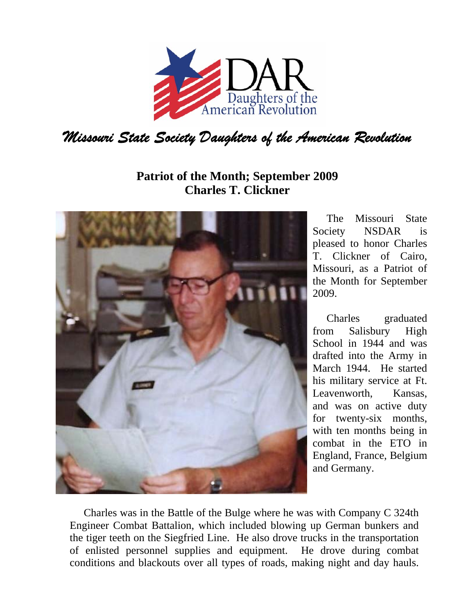

## **Patriot of the Month; September 2009 Charles T. Clickner**



The Missouri State Society NSDAR is pleased to honor Charles T. Clickner of Cairo, Missouri, as a Patriot of the Month for September 2009.

Charles graduated from Salisbury High School in 1944 and was drafted into the Army in March 1944. He started his military service at Ft. Leavenworth, Kansas, and was on active duty for twenty-six months, with ten months being in combat in the ETO in England, France, Belgium and Germany.

Charles was in the Battle of the Bulge where he was with Company C 324th Engineer Combat Battalion, which included blowing up German bunkers and the tiger teeth on the Siegfried Line. He also drove trucks in the transportation of enlisted personnel supplies and equipment. He drove during combat conditions and blackouts over all types of roads, making night and day hauls.